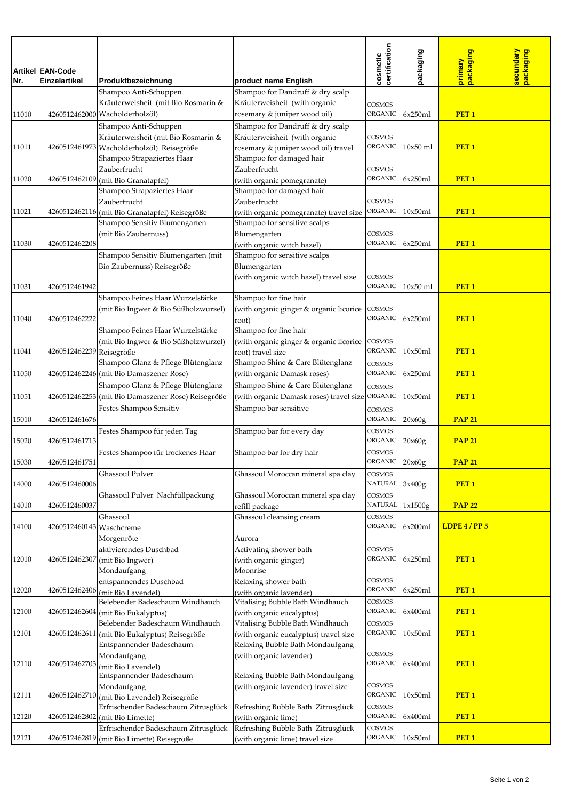|       |                                          |                                                    |                                                                         | certification<br>cosmetic       | packaging  | packaging        | secundary<br>packaging |
|-------|------------------------------------------|----------------------------------------------------|-------------------------------------------------------------------------|---------------------------------|------------|------------------|------------------------|
| Nr.   | <b>Artikel EAN-Code</b><br>Einzelartikel | Produktbezeichnung                                 |                                                                         |                                 |            | primary          |                        |
|       |                                          | Shampoo Anti-Schuppen                              | product name English<br>Shampoo for Dandruff & dry scalp                |                                 |            |                  |                        |
|       |                                          | Kräuterweisheit (mit Bio Rosmarin &                | Kräuterweisheit (with organic                                           | <b>COSMOS</b>                   |            |                  |                        |
| 11010 |                                          | 4260512462000 Wacholderholzöl)                     | rosemary & juniper wood oil)                                            | <b>ORGANIC</b>                  | 6x250ml    | PET <sub>1</sub> |                        |
|       |                                          | Shampoo Anti-Schuppen                              | Shampoo for Dandruff & dry scalp                                        |                                 |            |                  |                        |
|       |                                          | Kräuterweisheit (mit Bio Rosmarin &                | Kräuterweisheit (with organic                                           | <b>COSMOS</b>                   |            |                  |                        |
| 11011 |                                          | 4260512461973   Wacholderholzöl) Reisegröße        | rosemary & juniper wood oil) travel                                     | <b>ORGANIC</b>                  | $10x50$ ml | PET <sub>1</sub> |                        |
|       |                                          | Shampoo Strapaziertes Haar                         | Shampoo for damaged hair                                                |                                 |            |                  |                        |
|       |                                          | Zauberfrucht                                       | Zauberfrucht                                                            | <b>COSMOS</b>                   |            |                  |                        |
| 11020 | 4260512462109                            | (mit Bio Granatapfel)                              | (with organic pomegranate)                                              | <b>ORGANIC</b>                  | 6x250ml    | PET <sub>1</sub> |                        |
|       |                                          | Shampoo Strapaziertes Haar                         | Shampoo for damaged hair                                                |                                 |            |                  |                        |
|       |                                          | Zauberfrucht                                       | Zauberfrucht                                                            | <b>COSMOS</b>                   |            |                  |                        |
| 11021 |                                          | 4260512462116 (mit Bio Granatapfel) Reisegröße     | (with organic pomegranate) travel size                                  | <b>ORGANIC</b>                  | 10x50ml    | PET <sub>1</sub> |                        |
|       |                                          | Shampoo Sensitiv Blumengarten                      | Shampoo for sensitive scalps                                            |                                 |            |                  |                        |
| 11030 | 4260512462208                            | (mit Bio Zaubernuss)                               | Blumengarten                                                            | <b>COSMOS</b><br><b>ORGANIC</b> | 6x250ml    | PET <sub>1</sub> |                        |
|       |                                          | Shampoo Sensitiv Blumengarten (mit                 | (with organic witch hazel)<br>Shampoo for sensitive scalps              |                                 |            |                  |                        |
|       |                                          | Bio Zaubernuss) Reisegröße                         | Blumengarten                                                            |                                 |            |                  |                        |
|       |                                          |                                                    | (with organic witch hazel) travel size                                  | <b>COSMOS</b>                   |            |                  |                        |
| 11031 | 4260512461942                            |                                                    |                                                                         | <b>ORGANIC</b>                  | $10x50$ ml | PET <sub>1</sub> |                        |
|       |                                          | Shampoo Feines Haar Wurzelstärke                   | Shampoo for fine hair                                                   |                                 |            |                  |                        |
|       |                                          | (mit Bio Ingwer & Bio Süßholzwurzel)               | (with organic ginger & organic licorice                                 | <b>COSMOS</b>                   |            |                  |                        |
| 11040 | 4260512462222                            |                                                    | root)                                                                   | ORGANIC                         | 6x250ml    | PET <sub>1</sub> |                        |
|       |                                          | Shampoo Feines Haar Wurzelstärke                   | Shampoo for fine hair                                                   |                                 |            |                  |                        |
|       |                                          | (mit Bio Ingwer & Bio Süßholzwurzel)               | (with organic ginger & organic licorice                                 | <b>COSMOS</b>                   |            |                  |                        |
| 11041 | 4260512462239 Reisegröße                 |                                                    | root) travel size                                                       | <b>ORGANIC</b>                  | 10x50ml    | PET <sub>1</sub> |                        |
|       |                                          | Shampoo Glanz & Pflege Blütenglanz                 | Shampoo Shine & Care Blütenglanz                                        | <b>COSMOS</b>                   |            |                  |                        |
| 11050 |                                          | 4260512462246 (mit Bio Damaszener Rose)            | (with organic Damask roses)                                             | ORGANIC                         | 6x250ml    | PET <sub>1</sub> |                        |
|       |                                          | Shampoo Glanz & Pflege Blütenglanz                 | Shampoo Shine & Care Blütenglanz                                        | <b>COSMOS</b>                   |            |                  |                        |
| 11051 |                                          | 4260512462253 (mit Bio Damaszener Rose) Reisegröße | (with organic Damask roses) travel size ORGANIC                         |                                 | 10x50ml    | PET <sub>1</sub> |                        |
|       |                                          | Festes Shampoo Sensitiv                            | Shampoo bar sensitive                                                   | COSMOS                          |            |                  |                        |
| 15010 | 4260512461676                            |                                                    |                                                                         | ORGANIC 20x60g                  |            | <b>PAP 21</b>    |                        |
| 15020 | 4260512461713                            | Festes Shampoo für jeden Tag                       | Shampoo bar for every day                                               | COSMOS<br>ORGANIC 20x60g        |            | <b>PAP 21</b>    |                        |
|       |                                          | Festes Shampoo für trockenes Haar                  | Shampoo bar for dry hair                                                | <b>COSMOS</b>                   |            |                  |                        |
| 15030 | 4260512461751                            |                                                    |                                                                         | ORGANIC                         | 20x60g     | <b>PAP 21</b>    |                        |
|       |                                          | <b>Ghassoul Pulver</b>                             | Ghassoul Moroccan mineral spa clay                                      | <b>COSMOS</b>                   |            |                  |                        |
| 14000 | 4260512460006                            |                                                    |                                                                         | NATURAL 3x400g                  |            | PET <sub>1</sub> |                        |
|       |                                          | Ghassoul Pulver Nachfüllpackung                    | Ghassoul Moroccan mineral spa clay                                      | <b>COSMOS</b>                   |            |                  |                        |
| 14010 | 4260512460037                            |                                                    | refill package                                                          | NATURAL 1x1500g                 |            | <b>PAP 22</b>    |                        |
|       |                                          | Ghassoul                                           | Ghassoul cleansing cream                                                | <b>COSMOS</b>                   |            |                  |                        |
| 14100 | 4260512460143 Waschcreme                 |                                                    |                                                                         | <b>ORGANIC</b>                  | 6x200ml    | LDPE $4/PP5$     |                        |
|       |                                          | Morgenröte                                         | Aurora                                                                  |                                 |            |                  |                        |
|       |                                          | aktivierendes Duschbad                             | Activating shower bath                                                  | <b>COSMOS</b>                   |            |                  |                        |
| 12010 |                                          | 4260512462307 (mit Bio Ingwer)                     | (with organic ginger)<br>Moonrise                                       | ORGANIC                         | 6x250ml    | PET <sub>1</sub> |                        |
|       |                                          | Mondaufgang<br>entspannendes Duschbad              | Relaxing shower bath                                                    | <b>COSMOS</b>                   |            |                  |                        |
| 12020 |                                          | 4260512462406 (mit Bio Lavendel)                   | (with organic lavender)                                                 | ORGANIC 6x250ml                 |            | PET <sub>1</sub> |                        |
|       |                                          | Belebender Badeschaum Windhauch                    | Vitalising Bubble Bath Windhauch                                        | <b>COSMOS</b>                   |            |                  |                        |
| 12100 |                                          | 4260512462604 (mit Bio Eukalyptus)                 | (with organic eucalyptus)                                               | ORGANIC                         | 6x400ml    | PET <sub>1</sub> |                        |
|       |                                          | Belebender Badeschaum Windhauch                    | Vitalising Bubble Bath Windhauch                                        | <b>COSMOS</b>                   |            |                  |                        |
| 12101 |                                          | 4260512462611 (mit Bio Eukalyptus) Reisegröße      | (with organic eucalyptus) travel size                                   | ORGANIC 10x50ml                 |            | PET <sub>1</sub> |                        |
|       |                                          | Entspannender Badeschaum                           | Relaxing Bubble Bath Mondaufgang                                        |                                 |            |                  |                        |
|       |                                          | Mondaufgang                                        | (with organic lavender)                                                 | <b>COSMOS</b><br><b>ORGANIC</b> | 6x400ml    | PET <sub>1</sub> |                        |
| 12110 |                                          | 4260512462703 (mit Bio Lavendel)                   |                                                                         |                                 |            |                  |                        |
|       |                                          | Entspannender Badeschaum<br>Mondaufgang            | Relaxing Bubble Bath Mondaufgang<br>(with organic lavender) travel size | <b>COSMOS</b>                   |            |                  |                        |
| 12111 | 4260512462710                            | (mit Bio Lavendel) Reisegröße                      |                                                                         | ORGANIC                         | 10x50ml    | PET <sub>1</sub> |                        |
|       |                                          | Erfrischender Badeschaum Zitrusglück               | Refreshing Bubble Bath Zitrusglück                                      | <b>COSMOS</b>                   |            |                  |                        |
| 12120 |                                          | 4260512462802 (mit Bio Limette)                    | (with organic lime)                                                     | <b>ORGANIC</b>                  | 6x400ml    | PET <sub>1</sub> |                        |
|       |                                          | Erfrischender Badeschaum Zitrusglück               | Refreshing Bubble Bath Zitrusglück                                      | <b>COSMOS</b>                   |            |                  |                        |
| 12121 |                                          | 4260512462819 (mit Bio Limette) Reisegröße         | (with organic lime) travel size                                         | ORGANIC 10x50ml                 |            | PET <sub>1</sub> |                        |